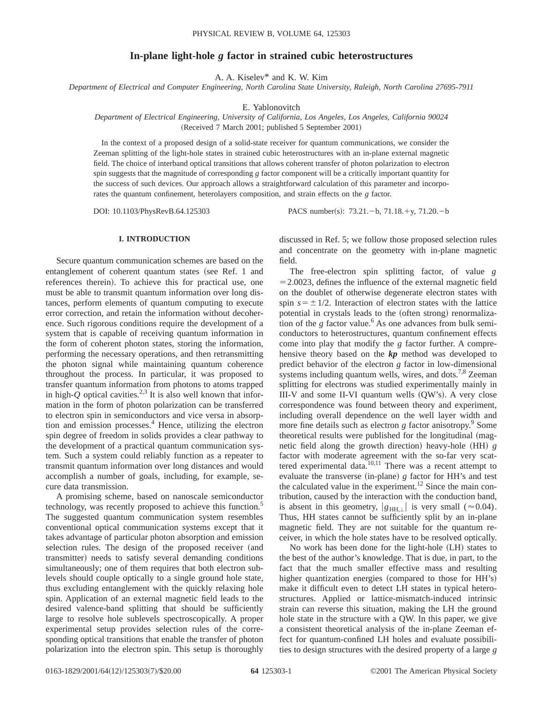# **In-plane light-hole** *g* **factor in strained cubic heterostructures**

A. A. Kiselev\* and K. W. Kim

*Department of Electrical and Computer Engineering, North Carolina State University, Raleigh, North Carolina 27695-7911*

E. Yablonovitch

## *Department of Electrical Engineering, University of California, Los Angeles, Los Angeles, California 90024* (Received 7 March 2001; published 5 September 2001)

In the context of a proposed design of a solid-state receiver for quantum communications, we consider the Zeeman splitting of the light-hole states in strained cubic heterostructures with an in-plane external magnetic field. The choice of interband optical transitions that allows coherent transfer of photon polarization to electron spin suggests that the magnitude of corresponding *g* factor component will be a critically important quantity for the success of such devices. Our approach allows a straightforward calculation of this parameter and incorporates the quantum confinement, heterolayers composition, and strain effects on the *g* factor.

DOI: 10.1103/PhysRevB.64.125303 PACS number(s): 73.21.-b, 71.18.+y, 71.20.-b

### **I. INTRODUCTION**

Secure quantum communication schemes are based on the entanglement of coherent quantum states (see Ref. 1 and references therein). To achieve this for practical use, one must be able to transmit quantum information over long distances, perform elements of quantum computing to execute error correction, and retain the information without decoherence. Such rigorous conditions require the development of a system that is capable of receiving quantum information in the form of coherent photon states, storing the information, performing the necessary operations, and then retransmitting the photon signal while maintaining quantum coherence throughout the process. In particular, it was proposed to transfer quantum information from photons to atoms trapped in high- $Q$  optical cavities.<sup>2,3</sup> It is also well known that information in the form of photon polarization can be transferred to electron spin in semiconductors and vice versa in absorption and emission processes.<sup>4</sup> Hence, utilizing the electron spin degree of freedom in solids provides a clear pathway to the development of a practical quantum communication system. Such a system could reliably function as a repeater to transmit quantum information over long distances and would accomplish a number of goals, including, for example, secure data transmission.

A promising scheme, based on nanoscale semiconductor technology, was recently proposed to achieve this function.<sup>5</sup> The suggested quantum communication system resembles conventional optical communication systems except that it takes advantage of particular photon absorption and emission selection rules. The design of the proposed receiver (and transmitter) needs to satisfy several demanding conditions simultaneously; one of them requires that both electron sublevels should couple optically to a single ground hole state, thus excluding entanglement with the quickly relaxing hole spin. Application of an external magnetic field leads to the desired valence-band splitting that should be sufficiently large to resolve hole sublevels spectroscopically. A proper experimental setup provides selection rules of the corresponding optical transitions that enable the transfer of photon polarization into the electron spin. This setup is thoroughly

discussed in Ref. 5; we follow those proposed selection rules and concentrate on the geometry with in-plane magnetic field.

The free-electron spin splitting factor, of value *g*  $=$  2.0023, defines the influence of the external magnetic field on the doublet of otherwise degenerate electron states with spin  $s = \pm 1/2$ . Interaction of electron states with the lattice potential in crystals leads to the (often strong) renormalization of the *g* factor value.<sup>6</sup> As one advances from bulk semiconductors to heterostructures, quantum confinement effects come into play that modify the *g* factor further. A comprehensive theory based on the *kp* method was developed to predict behavior of the electron *g* factor in low-dimensional systems including quantum wells, wires, and dots.<sup>7,8</sup> Zeeman splitting for electrons was studied experimentally mainly in  $III-V$  and some  $II-VI$  quantum wells  $(QW's)$ . A very close correspondence was found between theory and experiment, including overall dependence on the well layer width and more fine details such as electron *g* factor anisotropy.<sup>9</sup> Some theoretical results were published for the longitudinal (magnetic field along the growth direction) heavy-hole  $(HH)$   $g$ factor with moderate agreement with the so-far very scattered experimental data.<sup>10,11</sup> There was a recent attempt to evaluate the transverse  $(in-plane)$  g factor for HH's and test the calculated value in the experiment.<sup>12</sup> Since the main contribution, caused by the interaction with the conduction band, is absent in this geometry,  $|g_{HH,\perp}|$  is very small ( $\approx 0.04$ ). Thus, HH states cannot be sufficiently split by an in-plane magnetic field. They are not suitable for the quantum receiver, in which the hole states have to be resolved optically.

No work has been done for the light-hole (LH) states to the best of the author's knowledge. That is due, in part, to the fact that the much smaller effective mass and resulting higher quantization energies (compared to those for  $HH's$ ) make it difficult even to detect LH states in typical heterostructures. Applied or lattice-mismatch-induced intrinsic strain can reverse this situation, making the LH the ground hole state in the structure with a QW. In this paper, we give a consistent theoretical analysis of the in-plane Zeeman effect for quantum-confined LH holes and evaluate possibilities to design structures with the desired property of a large *g*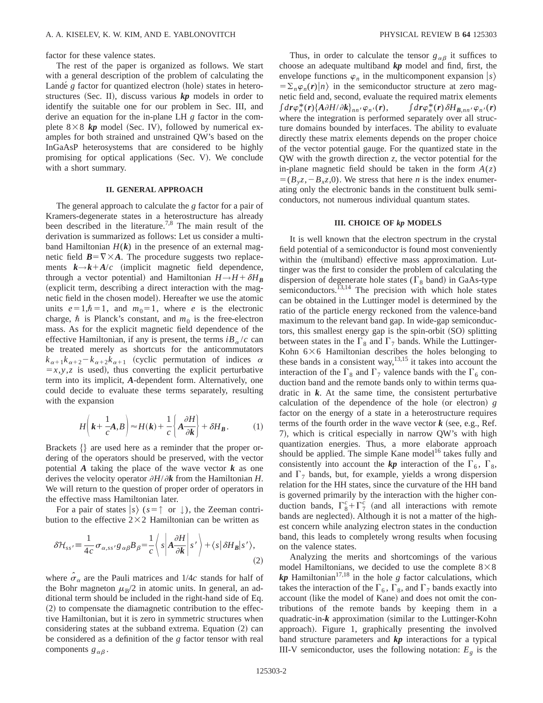factor for these valence states.

The rest of the paper is organized as follows. We start with a general description of the problem of calculating the Lande<sup> $g$ </sup> factor for quantized electron (hole) states in heterostructures (Sec. II), discuss various  $kp$  models in order to identify the suitable one for our problem in Sec. III, and derive an equation for the in-plane LH *g* factor in the complete  $8\times8$  *kp* model (Sec. IV), followed by numerical examples for both strained and unstrained QW's based on the InGaAsP heterosystems that are considered to be highly promising for optical applications (Sec. V). We conclude with a short summary.

### **II. GENERAL APPROACH**

The general approach to calculate the *g* factor for a pair of Kramers-degenerate states in a heterostructure has already been described in the literature.<sup>7,8</sup> The main result of the derivation is summarized as follows: Let us consider a multiband Hamiltonian  $H(k)$  in the presence of an external magnetic field  $\mathbf{B} = \nabla \times \mathbf{A}$ . The procedure suggests two replacements  $k \rightarrow k + A/c$  (implicit magnetic field dependence, through a vector potential) and Hamiltonian  $H \rightarrow H + \delta H_B$ (explicit term, describing a direct interaction with the magnetic field in the chosen model). Hereafter we use the atomic units  $e=1,\hbar=1$ , and  $m_0=1$ , where *e* is the electronic charge,  $\hbar$  is Planck's constant, and  $m_0$  is the free-electron mass. As for the explicit magnetic field dependence of the effective Hamiltonian, if any is present, the terms  $iB_\alpha/c$  can be treated merely as shortcuts for the anticommutators  $k_{\alpha+1}k_{\alpha+2}-k_{\alpha+2}k_{\alpha+1}$  (cyclic permutation of indices  $\alpha$  $=x, y, z$  is used), thus converting the explicit perturbative term into its implicit, *A*-dependent form. Alternatively, one could decide to evaluate these terms separately, resulting with the expansion

$$
H\left(\mathbf{k} + \frac{1}{c}\mathbf{A}, \mathbf{B}\right) \approx H(\mathbf{k}) + \frac{1}{c}\left\{\mathbf{A}\frac{\partial H}{\partial \mathbf{k}}\right\} + \delta H_{\mathbf{B}}.\tag{1}
$$

Brackets  $\{\}$  are used here as a reminder that the proper ordering of the operators should be preserved, with the vector potential  $\vec{A}$  taking the place of the wave vector  $\vec{k}$  as one derives the velocity operator  $\partial H/\partial k$  from the Hamiltonian *H*. We will return to the question of proper order of operators in the effective mass Hamiltonian later.

For a pair of states  $|s\rangle$  ( $s = \uparrow$  or  $\downarrow$ ), the Zeeman contribution to the effective  $2\times2$  Hamiltonian can be written as

$$
\delta \mathcal{H}_{ss'} = \frac{1}{4c} \sigma_{\alpha,ss'} g_{\alpha\beta} B_{\beta} = \frac{1}{c} \left\langle s \left| A \frac{\partial H}{\partial k} \right| s' \right\rangle + \left\langle s \left| \delta H_B \right| s' \right\rangle,\tag{2}
$$

where  $\sigma_{\alpha}$  are the Pauli matrices and 1/4*c* stands for half of the Bohr magneton  $\mu_B/2$  in atomic units. In general, an additional term should be included in the right-hand side of Eq.  $(2)$  to compensate the diamagnetic contribution to the effective Hamiltonian, but it is zero in symmetric structures when considering states at the subband extrema. Equation  $(2)$  can be considered as a definition of the *g* factor tensor with real components  $g_{\alpha\beta}$ .

Thus, in order to calculate the tensor  $g_{\alpha\beta}$  it suffices to choose an adequate multiband *kp* model and find, first, the envelope functions  $\varphi_n$  in the multicomponent expansion  $|s\rangle$  $=\sum_{n} \varphi_{n}(r) |n\rangle$  in the semiconductor structure at zero magnetic field and, second, evaluate the required matrix elements  $\int d\mathbf{r} \varphi_n^*(\mathbf{r}) \{A \partial H/\partial \mathbf{k}\}_{nn'} \varphi_{n'}$  $(\mathbf{r}), \qquad \int d\mathbf{r} \varphi_n^*(\mathbf{r}) \, \delta H_{\mathbf{B},nn'} \varphi_{n'}(\mathbf{r})$ where the integration is performed separately over all structure domains bounded by interfaces. The ability to evaluate directly these matrix elements depends on the proper choice of the vector potential gauge. For the quantized state in the QW with the growth direction *z*, the vector potential for the in-plane magnetic field should be taken in the form  $A(z)$  $=$   $(B_yz, -B_xz,0)$ . We stress that here *n* is the index enumerating only the electronic bands in the constituent bulk semiconductors, not numerous individual quantum states.

#### **III. CHOICE OF** *kp* **MODELS**

It is well known that the electron spectrum in the crystal field potential of a semiconductor is found most conveniently within the (multiband) effective mass approximation. Luttinger was the first to consider the problem of calculating the dispersion of degenerate hole states ( $\Gamma_8$  band) in GaAs-type semiconductors.<sup> $13,14$ </sup> The precision with which hole states can be obtained in the Luttinger model is determined by the ratio of the particle energy reckoned from the valence-band maximum to the relevant band gap. In wide-gap semiconductors, this smallest energy gap is the spin-orbit (SO) splitting between states in the  $\Gamma_8$  and  $\Gamma_7$  bands. While the Luttinger-Kohn  $6\times6$  Hamiltonian describes the holes belonging to these bands in a consistent way,  $13,15$  it takes into account the interaction of the  $\Gamma_8$  and  $\Gamma_7$  valence bands with the  $\Gamma_6$  conduction band and the remote bands only to within terms quadratic in  $k$ . At the same time, the consistent perturbative calculation of the dependence of the hole (or electron)  $g$ factor on the energy of a state in a heterostructure requires terms of the fourth order in the wave vector  $k$  (see, e.g., Ref.) 7), which is critical especially in narrow QW's with high quantization energies. Thus, a more elaborate approach should be applied. The simple Kane model<sup>16</sup> takes fully and consistently into account the **kp** interaction of the  $\Gamma_6$ ,  $\Gamma_8$ , and  $\Gamma_7$  bands, but, for example, yields a wrong dispersion relation for the HH states, since the curvature of the HH band is governed primarily by the interaction with the higher conduction bands,  $\Gamma_8^c + \Gamma_7^c$  (and all interactions with remote bands are neglected). Although it is not a matter of the highest concern while analyzing electron states in the conduction band, this leads to completely wrong results when focusing on the valence states.

Analyzing the merits and shortcomings of the various model Hamiltonians, we decided to use the complete  $8\times8$  $kp$  Hamiltonian<sup>17,18</sup> in the hole *g* factor calculations, which takes the interaction of the  $\Gamma_6$ ,  $\Gamma_8$ , and  $\Gamma_7$  bands exactly into account (like the model of Kane) and does not omit the contributions of the remote bands by keeping them in a quadratic-in- $k$  approximation (similar to the Luttinger-Kohn approach). Figure 1, graphically presenting the involved band structure parameters and *kp* interactions for a typical III-V semiconductor, uses the following notation:  $E<sub>g</sub>$  is the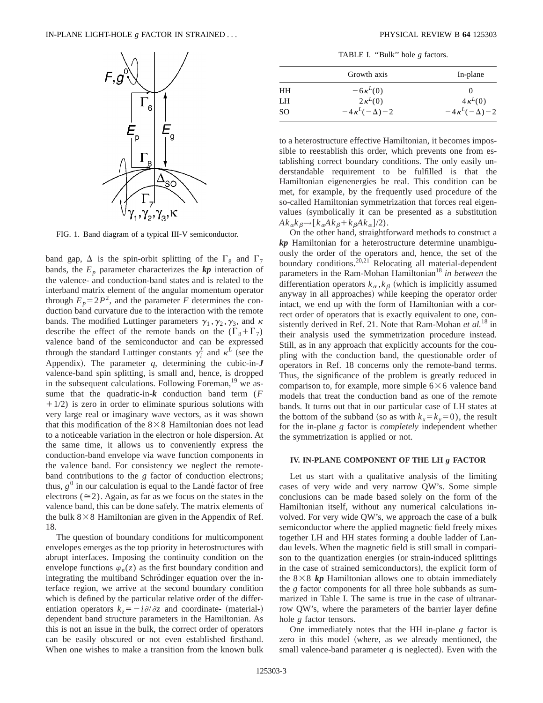

FIG. 1. Band diagram of a typical III-V semiconductor.

band gap,  $\Delta$  is the spin-orbit splitting of the  $\Gamma_8$  and  $\Gamma_7$ bands, the  $E_p$  parameter characterizes the  $kp$  interaction of the valence- and conduction-band states and is related to the interband matrix element of the angular momentum operator through  $E_p = 2P^2$ , and the parameter *F* determines the conduction band curvature due to the interaction with the remote bands. The modified Luttinger parameters  $\gamma_1$ ,  $\gamma_2$ ,  $\gamma_3$ , and  $\kappa$ describe the effect of the remote bands on the  $(\Gamma_8 + \Gamma_7)$ valence band of the semiconductor and can be expressed through the standard Luttinger constants  $\gamma_i^L$  and  $\kappa^L$  (see the Appendix). The parameter  $q$ , determining the cubic-in- $J$ valence-band spin splitting, is small and, hence, is dropped in the subsequent calculations. Following Foreman,<sup>19</sup> we assume that the quadratic-in-*k* conduction band term (*F*  $+1/2$ ) is zero in order to eliminate spurious solutions with very large real or imaginary wave vectors, as it was shown that this modification of the  $8\times8$  Hamiltonian does not lead to a noticeable variation in the electron or hole dispersion. At the same time, it allows us to conveniently express the conduction-band envelope via wave function components in the valence band. For consistency we neglect the remoteband contributions to the *g* factor of conduction electrons; thus,  $g^0$  in our calculation is equal to the Lande<sup> $\epsilon$ </sup> factor of free electrons ( $\approx$ 2). Again, as far as we focus on the states in the valence band, this can be done safely. The matrix elements of the bulk  $8 \times 8$  Hamiltonian are given in the Appendix of Ref. 18.

The question of boundary conditions for multicomponent envelopes emerges as the top priority in heterostructures with abrupt interfaces. Imposing the continuity condition on the envelope functions  $\varphi_n(z)$  as the first boundary condition and integrating the multiband Schrödinger equation over the interface region, we arrive at the second boundary condition which is defined by the particular relative order of the differentiation operators  $k_z = -i \partial/\partial z$  and coordinate- (material-) dependent band structure parameters in the Hamiltonian. As this is not an issue in the bulk, the correct order of operators can be easily obscured or not even established firsthand. When one wishes to make a transition from the known bulk

TABLE I. "Bulk" hole *g* factors.

|    | Growth axis             | In-plane                |
|----|-------------------------|-------------------------|
| HН | $-6\kappa^L(0)$         |                         |
| LH | $-2\kappa^L(0)$         | $-4\kappa^L(0)$         |
| SO | $-4\kappa^L(-\Delta)-2$ | $-4\kappa^L(-\Delta)-2$ |

to a heterostructure effective Hamiltonian, it becomes impossible to reestablish this order, which prevents one from establishing correct boundary conditions. The only easily understandable requirement to be fulfilled is that the Hamiltonian eigenenergies be real. This condition can be met, for example, by the frequently used procedure of the so-called Hamiltonian symmetrization that forces real eigenvalues (symbolically it can be presented as a substitution  $Ak_{\alpha}k_{\beta} \rightarrow [k_{\alpha}Ak_{\beta}+k_{\beta}Ak_{\alpha}]/2$ .

On the other hand, straightforward methods to construct a *kp* Hamiltonian for a heterostructure determine unambiguously the order of the operators and, hence, the set of the boundary conditions.<sup>20,21</sup> Relocating all material-dependent parameters in the Ram-Mohan Hamiltonian<sup>18</sup> in between the differentiation operators  $k_{\alpha}$ ,  $k_{\beta}$  (which is implicitly assumed anyway in all approaches) while keeping the operator order intact, we end up with the form of Hamiltonian with a correct order of operators that is exactly equivalent to one, consistently derived in Ref. 21. Note that Ram-Mohan *et al.*<sup>18</sup> in their analysis used the symmetrization procedure instead. Still, as in any approach that explicitly accounts for the coupling with the conduction band, the questionable order of operators in Ref. 18 concerns only the remote-band terms. Thus, the significance of the problem is greatly reduced in comparison to, for example, more simple  $6\times6$  valence band models that treat the conduction band as one of the remote bands. It turns out that in our particular case of LH states at the bottom of the subband (so as with  $k_x = k_y = 0$ ), the result for the in-plane *g* factor is *completely* independent whether the symmetrization is applied or not.

### **IV. IN-PLANE COMPONENT OF THE LH** *g* **FACTOR**

Let us start with a qualitative analysis of the limiting cases of very wide and very narrow QW's. Some simple conclusions can be made based solely on the form of the Hamiltonian itself, without any numerical calculations involved. For very wide QW's, we approach the case of a bulk semiconductor where the applied magnetic field freely mixes together LH and HH states forming a double ladder of Landau levels. When the magnetic field is still small in comparison to the quantization energies (or strain-induced splittings in the case of strained semiconductors), the explicit form of the  $8\times8$  kp Hamiltonian allows one to obtain immediately the *g* factor components for all three hole subbands as summarized in Table I. The same is true in the case of ultranarrow QW's, where the parameters of the barrier layer define hole *g* factor tensors.

One immediately notes that the HH in-plane *g* factor is zero in this model (where, as we already mentioned, the small valence-band parameter  $q$  is neglected). Even with the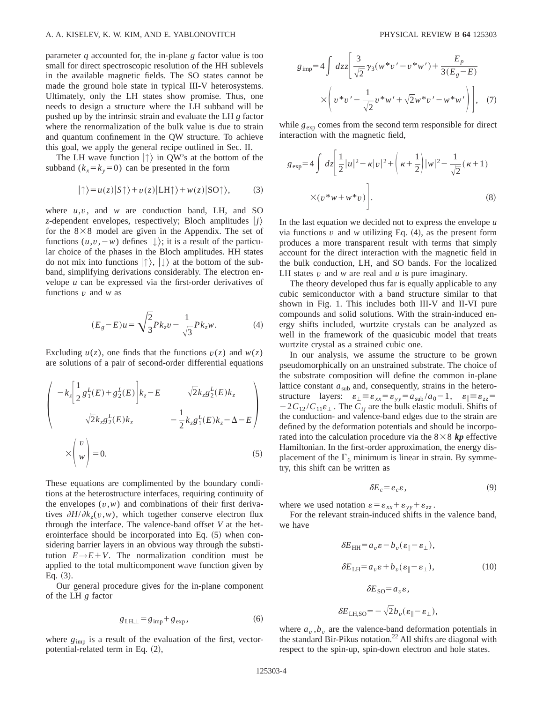parameter *q* accounted for, the in-plane *g* factor value is too small for direct spectroscopic resolution of the HH sublevels in the available magnetic fields. The SO states cannot be made the ground hole state in typical III-V heterosystems. Ultimately, only the LH states show promise. Thus, one needs to design a structure where the LH subband will be pushed up by the intrinsic strain and evaluate the LH *g* factor where the renormalization of the bulk value is due to strain and quantum confinement in the QW structure. To achieve this goal, we apply the general recipe outlined in Sec. II.

The LH wave function  $|\uparrow\rangle$  in QW's at the bottom of the subband  $(k_x = k_y = 0)$  can be presented in the form

$$
|\uparrow\rangle = u(z)|S\uparrow\rangle + v(z)|LH\uparrow\rangle + w(z)|SO\uparrow\rangle, \tag{3}
$$

where  $u, v$ , and  $w$  are conduction band, LH, and SO *z*-dependent envelopes, respectively; Bloch amplitudes  $|j\rangle$ for the  $8\times8$  model are given in the Appendix. The set of functions  $(u, v, -w)$  defines  $| \downarrow \rangle$ ; it is a result of the particular choice of the phases in the Bloch amplitudes. HH states do not mix into functions  $|\uparrow\rangle$ ,  $|\downarrow\rangle$  at the bottom of the subband, simplifying derivations considerably. The electron envelope *u* can be expressed via the first-order derivatives of functions *v* and *w* as

$$
(E_g - E)u = \sqrt{\frac{2}{3}}Pk_z v - \frac{1}{\sqrt{3}}Pk_z w.
$$
 (4)

Excluding  $u(z)$ , one finds that the functions  $v(z)$  and  $w(z)$ are solutions of a pair of second-order differential equations

$$
\begin{pmatrix}\n-k_z \left[ \frac{1}{2} g_1^L(E) + g_2^L(E) \right] k_z - E & \sqrt{2} k_z g_2^L(E) k_z \\
\sqrt{2} k_z g_2^L(E) k_z & -\frac{1}{2} k_z g_1^L(E) k_z - \Delta - E\n\end{pmatrix}
$$
\n
$$
\times \begin{pmatrix}\nv \\
w\n\end{pmatrix} = 0.
$$
\n(5)

These equations are complimented by the boundary conditions at the heterostructure interfaces, requiring continuity of the envelopes  $(v, w)$  and combinations of their first derivatives  $\partial H/\partial k_z(v,w)$ , which together conserve electron flux through the interface. The valence-band offset *V* at the heterointerface should be incorporated into Eq.  $(5)$  when considering barrier layers in an obvious way through the substitution  $E \rightarrow E + V$ . The normalization condition must be applied to the total multicomponent wave function given by Eq.  $(3)$ .

Our general procedure gives for the in-plane component of the LH *g* factor

$$
g_{\text{LH},\perp} = g_{\text{imp}} + g_{\text{exp}}\,,\tag{6}
$$

where  $g_{\text{imp}}$  is a result of the evaluation of the first, vectorpotential-related term in Eq.  $(2)$ ,

$$
g_{\text{imp}} = 4 \int dz \left[ \frac{3}{\sqrt{2}} \gamma_3 (w^* v' - v^* w') + \frac{E_p}{3(E_g - E)} \right] \times \left( v^* v' - \frac{1}{\sqrt{2}} v^* w' + \sqrt{2} w^* v' - w^* w' \right) \bigg], \quad (7)
$$

while  $g_{\text{exp}}$  comes from the second term responsible for direct interaction with the magnetic field,

$$
g_{\exp} = 4 \int dz \left[ \frac{1}{2} |u|^2 - \kappa |v|^2 + \left( \kappa + \frac{1}{2} \right) |w|^2 - \frac{1}{\sqrt{2}} (\kappa + 1)
$$

$$
\times (v^* w + w^* v) \right].
$$
(8)

In the last equation we decided not to express the envelope *u* via functions  $v$  and  $w$  utilizing Eq.  $(4)$ , as the present form produces a more transparent result with terms that simply account for the direct interaction with the magnetic field in the bulk conduction, LH, and SO bands. For the localized LH states *v* and *w* are real and *u* is pure imaginary.

The theory developed thus far is equally applicable to any cubic semiconductor with a band structure similar to that shown in Fig. 1. This includes both III-V and II-VI pure compounds and solid solutions. With the strain-induced energy shifts included, wurtzite crystals can be analyzed as well in the framework of the quasicubic model that treats wurtzite crystal as a strained cubic one.

In our analysis, we assume the structure to be grown pseudomorphically on an unstrained substrate. The choice of the substrate composition will define the common in-plane lattice constant  $a_{sub}$  and, consequently, strains in the heterostructure layers:  $\varepsilon_{\perp} \equiv \varepsilon_{xx} = \varepsilon_{yy} = a_{sub} / a_0 - 1$ ,  $\varepsilon_{\parallel} \equiv \varepsilon_{zz} =$  $-2C_{12}/C_{11}\epsilon$ . The  $C_{ii}$  are the bulk elastic moduli. Shifts of the conduction- and valence-band edges due to the strain are defined by the deformation potentials and should be incorporated into the calculation procedure via the  $8 \times 8$  kp effective Hamiltonian. In the first-order approximation, the energy displacement of the  $\Gamma_6$  minimum is linear in strain. By symmetry, this shift can be written as

$$
\delta E_c = e_c \varepsilon, \tag{9}
$$

where we used notation  $\varepsilon = \varepsilon_{xx} + \varepsilon_{yy} + \varepsilon_{zz}$ .

For the relevant strain-induced shifts in the valence band, we have

$$
\delta E_{HH} = a_v \varepsilon - b_v (\varepsilon_{\parallel} - \varepsilon_{\perp}),
$$
  
\n
$$
\delta E_{LH} = a_v \varepsilon + b_v (\varepsilon_{\parallel} - \varepsilon_{\perp}),
$$
  
\n
$$
\delta E_{SO} = a_v \varepsilon,
$$
  
\n
$$
\delta E_{LH,SO} = -\sqrt{2} b_v (\varepsilon_{\parallel} - \varepsilon_{\perp}),
$$
\n(10)

where  $a_v$ ,  $b_v$  are the valence-band deformation potentials in the standard Bir-Pikus notation.<sup>22</sup> All shifts are diagonal with respect to the spin-up, spin-down electron and hole states.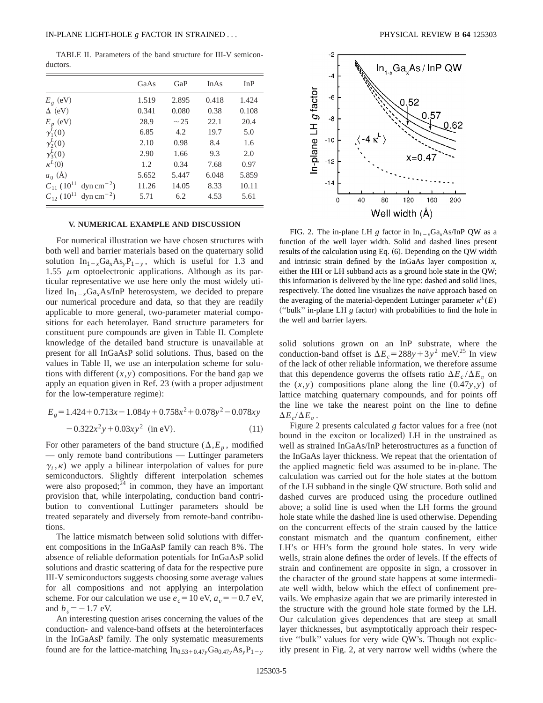TABLE II. Parameters of the band structure for III-V semiconductors.

|                                                        | GaAs  | GaP       | <b>InAs</b> | InP   |
|--------------------------------------------------------|-------|-----------|-------------|-------|
| $E_{g}$ (eV)                                           | 1.519 | 2.895     | 0.418       | 1.424 |
| $\Delta$ (eV)                                          | 0.341 | 0.080     | 0.38        | 0.108 |
| $E_p$ (eV)                                             | 28.9  | $\sim$ 25 | 22.1        | 20.4  |
| $\gamma_1^L(0)$                                        | 6.85  | 4.2       | 19.7        | 5.0   |
| $\gamma_2^L(0)$                                        | 2.10  | 0.98      | 8.4         | 1.6   |
| $\gamma_3^L(0)$                                        | 2.90  | 1.66      | 9.3         | 2.0   |
| $\kappa^L(0)$                                          | 1.2   | 0.34      | 7.68        | 0.97  |
| $a_0(\AA)$                                             | 5.652 | 5.447     | 6.048       | 5.859 |
| $C_{11}$ (10 <sup>11</sup> )<br>$\text{dyn cm}^{-2}$ ) | 11.26 | 14.05     | 8.33        | 10.11 |
| $C_{12}$ (10 <sup>11</sup> )<br>$\text{dyn cm}^{-2}$ ) | 5.71  | 6.2       | 4.53        | 5.61  |

#### **V. NUMERICAL EXAMPLE AND DISCUSSION**

For numerical illustration we have chosen structures with both well and barrier materials based on the quaternary solid solution  $In_{1-x}Ga_xAs_yP_{1-y}$ , which is useful for 1.3 and 1.55  $\mu$ m optoelectronic applications. Although as its particular representative we use here only the most widely utilized  $In_{1-x}Ga_xAs/InP$  heterosystem, we decided to prepare our numerical procedure and data, so that they are readily applicable to more general, two-parameter material compositions for each heterolayer. Band structure parameters for constituent pure compounds are given in Table II. Complete knowledge of the detailed band structure is unavailable at present for all InGaAsP solid solutions. Thus, based on the values in Table II, we use an interpolation scheme for solutions with different  $(x, y)$  compositions. For the band gap we apply an equation given in Ref. 23 (with a proper adjustment for the low-temperature regime):

$$
E_g = 1.424 + 0.713x - 1.084y + 0.758x^2 + 0.078y^2 - 0.078xy
$$
  
-0.322x<sup>2</sup>y + 0.03xy<sup>2</sup> (in eV). (11)

For other parameters of the band structure  $(\Delta, E_p$ , modified — only remote band contributions — Luttinger parameters  $\gamma_i$ ,  $\kappa$ ) we apply a bilinear interpolation of values for pure semiconductors. Slightly different interpolation schemes were also proposed; $^{24}$  in common, they have an important provision that, while interpolating, conduction band contribution to conventional Luttinger parameters should be treated separately and diversely from remote-band contributions.

The lattice mismatch between solid solutions with different compositions in the InGaAsP family can reach 8%. The absence of reliable deformation potentials for InGaAsP solid solutions and drastic scattering of data for the respective pure III-V semiconductors suggests choosing some average values for all compositions and not applying an interpolation scheme. For our calculation we use  $e_c = 10 \text{ eV}$ ,  $a_v = -0.7 \text{ eV}$ , and  $b_v = -1.7$  eV.

An interesting question arises concerning the values of the conduction- and valence-band offsets at the heterointerfaces in the InGaAsP family. The only systematic measurements found are for the lattice-matching  $In_{0.53+0.47y}Ga_{0.47y}As_yP_{1-y}$ 



FIG. 2. The in-plane LH *g* factor in  $In_{1-x}Ga_xAs/InP$  QW as a function of the well layer width. Solid and dashed lines present results of the calculation using Eq. (6). Depending on the QW width and intrinsic strain defined by the InGaAs layer composition *x*, either the HH or LH subband acts as a ground hole state in the QW; this information is delivered by the line type: dashed and solid lines, respectively. The dotted line visualizes the *naive* approach based on the averaging of the material-dependent Luttinger parameter  $\kappa^{L}(E)$ ("bulk" in-plane LH *g* factor) with probabilities to find the hole in the well and barrier layers.

solid solutions grown on an InP substrate, where the conduction-band offset is  $\Delta E_c = 288y + 3y^2$  meV.<sup>25</sup> In view of the lack of other reliable information, we therefore assume that this dependence governs the offsets ratio  $\Delta E_c / \Delta E_v$  on the  $(x, y)$  compositions plane along the line  $(0.47y, y)$  of lattice matching quaternary compounds, and for points off the line we take the nearest point on the line to define  $\Delta E_c/\Delta E_v$ .

Figure 2 presents calculated *g* factor values for a free (not bound in the exciton or localized) LH in the unstrained as well as strained InGaAs/InP heterostructures as a function of the InGaAs layer thickness. We repeat that the orientation of the applied magnetic field was assumed to be in-plane. The calculation was carried out for the hole states at the bottom of the LH subband in the single QW structure. Both solid and dashed curves are produced using the procedure outlined above; a solid line is used when the LH forms the ground hole state while the dashed line is used otherwise. Depending on the concurrent effects of the strain caused by the lattice constant mismatch and the quantum confinement, either LH's or HH's form the ground hole states. In very wide wells, strain alone defines the order of levels. If the effects of strain and confinement are opposite in sign, a crossover in the character of the ground state happens at some intermediate well width, below which the effect of confinement prevails. We emphasize again that we are primarily interested in the structure with the ground hole state formed by the LH. Our calculation gives dependences that are steep at small layer thicknesses, but asymptotically approach their respective ''bulk'' values for very wide QW's. Though not explicitly present in Fig. 2, at very narrow well widths (where the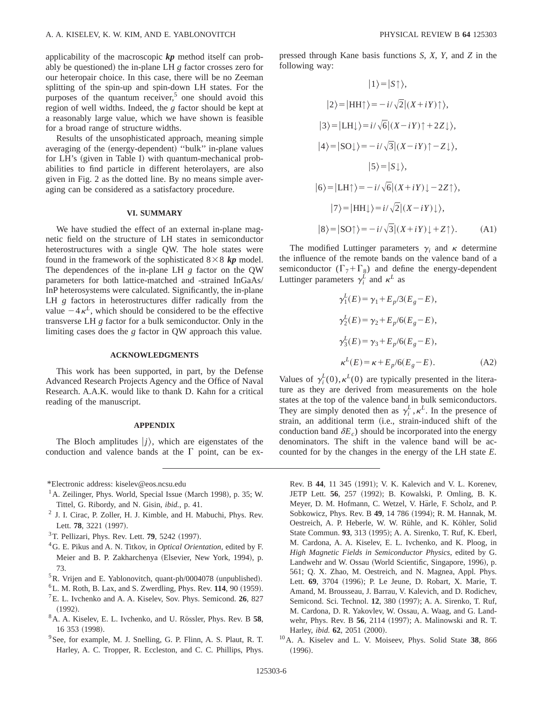applicability of the macroscopic *kp* method itself can probably be questioned) the in-plane LH *g* factor crosses zero for our heteropair choice. In this case, there will be no Zeeman splitting of the spin-up and spin-down LH states. For the purposes of the quantum receiver, $5$  one should avoid this region of well widths. Indeed, the *g* factor should be kept at a reasonably large value, which we have shown is feasible for a broad range of structure widths.

Results of the unsophisticated approach, meaning simple averaging of the (energy-dependent) "bulk" in-plane values for LH's (given in Table I) with quantum-mechanical probabilities to find particle in different heterolayers, are also given in Fig. 2 as the dotted line. By no means simple averaging can be considered as a satisfactory procedure.

#### **VI. SUMMARY**

We have studied the effect of an external in-plane magnetic field on the structure of LH states in semiconductor heterostructures with a single QW. The hole states were found in the framework of the sophisticated  $8 \times 8$  *kp* model. The dependences of the in-plane LH *g* factor on the QW parameters for both lattice-matched and -strained InGaAs/ InP heterosystems were calculated. Significantly, the in-plane LH *g* factors in heterostructures differ radically from the value  $-4\kappa^L$ , which should be considered to be the effective transverse LH *g* factor for a bulk semiconductor. Only in the limiting cases does the *g* factor in QW approach this value.

## **ACKNOWLEDGMENTS**

This work has been supported, in part, by the Defense Advanced Research Projects Agency and the Office of Naval Research. A.A.K. would like to thank D. Kahn for a critical reading of the manuscript.

### **APPENDIX**

The Bloch amplitudes  $|j\rangle$ , which are eigenstates of the conduction and valence bands at the  $\Gamma$  point, can be ex-

- $<sup>1</sup>$  A. Zeilinger, Phys. World, Special Issue (March 1998), p. 35; W.</sup> Tittel, G. Ribordy, and N. Gisin, *ibid.*, p. 41.
- $<sup>2</sup>$  J. I. Cirac, P. Zoller, H. J. Kimble, and H. Mabuchi, Phys. Rev.</sup> Lett. 78, 3221 (1997).
- <sup>3</sup>T. Pellizari, Phys. Rev. Lett. **79**, 5242 (1997).
- 4G. E. Pikus and A. N. Titkov, in *Optical Orientation*, edited by F. Meier and B. P. Zakharchenya (Elsevier, New York, 1994), p. 73.
- $5R$ . Vrijen and E. Yablonovitch, quant-ph/0004078 (unpublished).
- ${}^{6}$ L. M. Roth, B. Lax, and S. Zwerdling, Phys. Rev.  $114$ , 90 (1959).
- 7E. L. Ivchenko and A. A. Kiselev, Sov. Phys. Semicond. **26**, 827  $(1992).$
- <sup>8</sup> A. A. Kiselev, E. L. Ivchenko, and U. Rössler, Phys. Rev. B 58, 16 353 (1998).
- <sup>9</sup> See, for example, M. J. Snelling, G. P. Flinn, A. S. Plaut, R. T. Harley, A. C. Tropper, R. Eccleston, and C. C. Phillips, Phys.

pressed through Kane basis functions *S*, *X*, *Y*, and *Z* in the following way:

$$
|1\rangle = |S\uparrow\rangle,
$$
  
\n
$$
|2\rangle = |HH\uparrow\rangle = -i/\sqrt{2}|(X+iY)\uparrow\rangle,
$$
  
\n
$$
|3\rangle = |LH\downarrow\rangle = i/\sqrt{6}|(X-iY)\uparrow + 2Z\downarrow\rangle,
$$
  
\n
$$
|4\rangle = |SO\downarrow\rangle = -i/\sqrt{3}|(X-iY)\uparrow - Z\downarrow\rangle,
$$
  
\n
$$
|5\rangle = |S\downarrow\rangle,
$$
  
\n
$$
|6\rangle = |LH\uparrow\rangle = -i/\sqrt{6}|(X+iY)\downarrow - 2Z\uparrow\rangle,
$$
  
\n
$$
|7\rangle = |HH\downarrow\rangle = i/\sqrt{2}|(X-iY)\downarrow\rangle,
$$
  
\n
$$
|8\rangle = |SO\uparrow\rangle = -i/\sqrt{3}|(X+iY)\downarrow + Z\uparrow\rangle.
$$
 (A1)

The modified Luttinger parameters  $\gamma_i$  and  $\kappa$  determine the influence of the remote bands on the valence band of a semiconductor  $(\Gamma_7 + \Gamma_8)$  and define the energy-dependent Luttinger parameters  $\gamma_i^{\overline{L}}$  and  $\kappa^{\overline{L}}$  as

$$
\gamma_1^L(E) = \gamma_1 + E_p/3(E_g - E),
$$
  
\n
$$
\gamma_2^L(E) = \gamma_2 + E_p/6(E_g - E),
$$
  
\n
$$
\gamma_3^L(E) = \gamma_3 + E_p/6(E_g - E),
$$
  
\n
$$
\kappa^L(E) = \kappa + E_p/6(E_g - E).
$$
 (A2)

Values of  $\gamma_i^L(0), \kappa^L(0)$  are typically presented in the literature as they are derived from measurements on the hole states at the top of the valence band in bulk semiconductors. They are simply denoted then as  $\gamma_i^L$ ,  $\kappa^L$ . In the presence of strain, an additional term (i.e., strain-induced shift of the conduction band  $\delta E_c$ ) should be incorporated into the energy denominators. The shift in the valence band will be accounted for by the changes in the energy of the LH state *E*.

Rev. B 44, 11 345 (1991); V. K. Kalevich and V. L. Korenev, JETP Lett. **56**, 257 (1992); B. Kowalski, P. Omling, B. K. Meyer, D. M. Hofmann, C. Wetzel, V. Härle, F. Scholz, and P. Sobkowicz, Phys. Rev. B 49, 14 786 (1994); R. M. Hannak, M. Oestreich, A. P. Heberle, W. W. Rühle, and K. Köhler, Solid State Commun. 93, 313 (1995); A. A. Sirenko, T. Ruf, K. Eberl, M. Cardona, A. A. Kiselev, E. L. Ivchenko, and K. Ploog, in *High Magnetic Fields in Semiconductor Physics*, edited by G. Landwehr and W. Ossau (World Scientific, Singapore, 1996), p. 561; Q. X. Zhao, M. Oestreich, and N. Magnea, Appl. Phys. Lett. **69**, 3704 (1996); P. Le Jeune, D. Robart, X. Marie, T. Amand, M. Brousseau, J. Barrau, V. Kalevich, and D. Rodichev, Semicond. Sci. Technol. 12, 380 (1997); A. A. Sirenko, T. Ruf, M. Cardona, D. R. Yakovlev, W. Ossau, A. Waag, and G. Landwehr, Phys. Rev. B 56, 2114 (1997); A. Malinowski and R. T. Harley, *ibid.* **62**, 2051 (2000).

10A. A. Kiselev and L. V. Moiseev, Phys. Solid State **38**, 866  $(1996).$ 

<sup>\*</sup>Electronic address: kiselev@eos.ncsu.edu